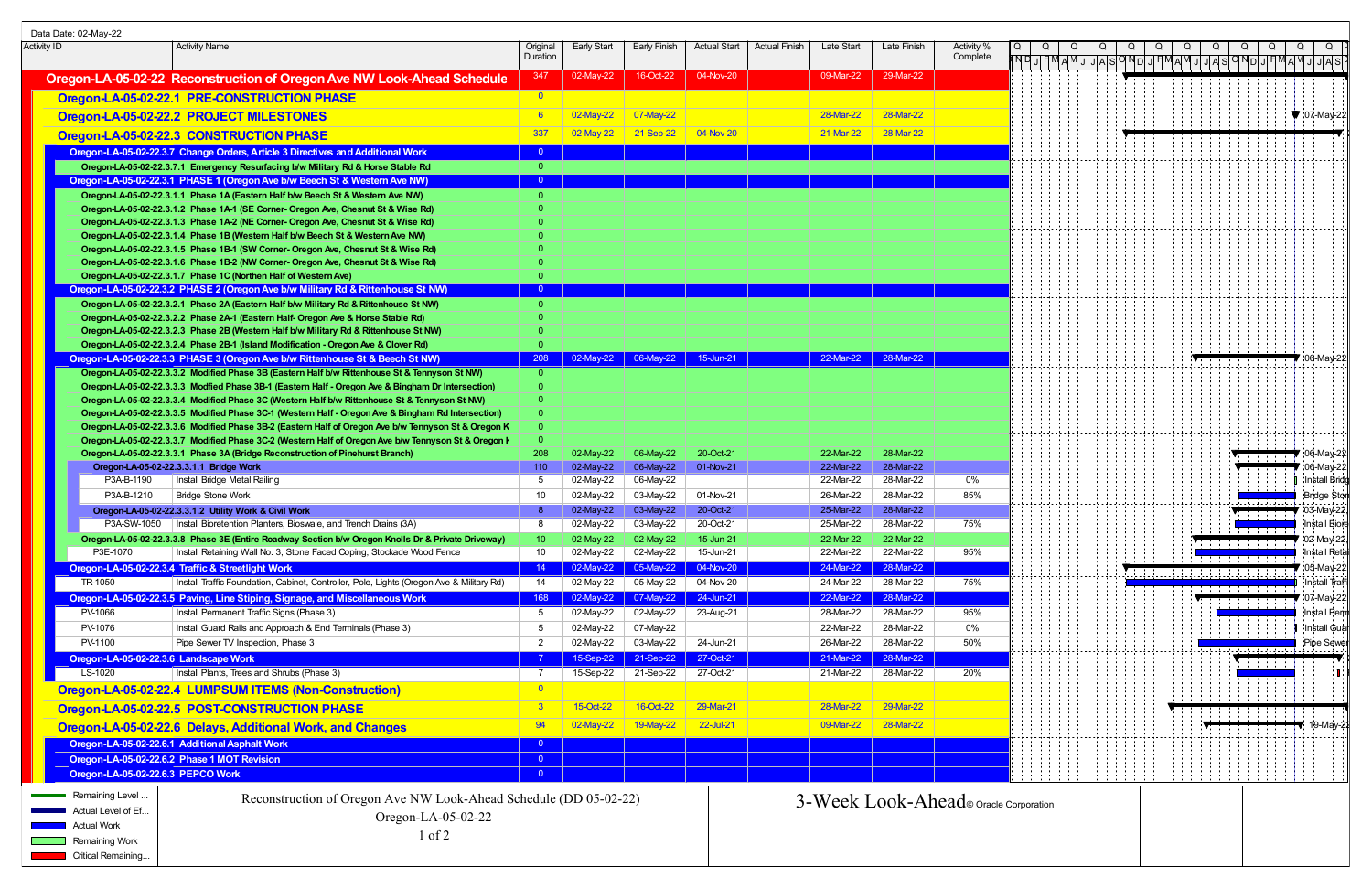| Data Date: 02-May-22 |                                       |                                                                                                                                                                                                            |                         |                        |                        |                        |                      |                        |                                        |                        |  |  |  |                       |                                  |
|----------------------|---------------------------------------|------------------------------------------------------------------------------------------------------------------------------------------------------------------------------------------------------------|-------------------------|------------------------|------------------------|------------------------|----------------------|------------------------|----------------------------------------|------------------------|--|--|--|-----------------------|----------------------------------|
| Activity ID          |                                       | <b>Activity Name</b>                                                                                                                                                                                       | Original<br>Duration    | <b>Early Start</b>     | Early Finish           | <b>Actual Start</b>    | <b>Actual Finish</b> | Late Start             | Late Finish                            | Activity %<br>Complete |  |  |  |                       |                                  |
|                      |                                       |                                                                                                                                                                                                            |                         |                        |                        |                        |                      |                        |                                        |                        |  |  |  |                       |                                  |
|                      |                                       | Oregon-LA-05-02-22 Reconstruction of Oregon Ave NW Look-Ahead Schedule                                                                                                                                     | 347                     | 02-May-22              | 16-Oct-22              | 04-Nov-20              |                      | 09-Mar-22              | 29-Mar-22                              |                        |  |  |  |                       |                                  |
|                      |                                       | Oregon-LA-05-02-22.1 PRE-CONSTRUCTION PHASE                                                                                                                                                                | $\overline{0}$          |                        |                        |                        |                      |                        |                                        |                        |  |  |  |                       |                                  |
|                      |                                       | Oregon-LA-05-02-22.2 PROJECT MILESTONES                                                                                                                                                                    |                         | 02-May-22              | $07$ -May-22           |                        |                      | 28-Mar-22              | 28-Mar-22                              |                        |  |  |  |                       | $\blacktriangledown$ :07-May-22. |
|                      |                                       | Oregon-LA-05-02-22.3 CONSTRUCTION PHASE                                                                                                                                                                    | 337                     | 02-May-22              | 21-Sep-22              | 04-Nov-20              |                      | 21-Mar-22              | 28-Mar-22                              |                        |  |  |  |                       |                                  |
|                      |                                       | Oregon-LA-05-02-22.3.7 Change Orders, Article 3 Directives and Additional Work                                                                                                                             | - 0 -                   |                        |                        |                        |                      |                        |                                        |                        |  |  |  |                       |                                  |
|                      |                                       | Oregon-LA-05-02-22.3.7.1 Emergency Resurfacing b/w Military Rd & Horse Stable Rd                                                                                                                           | $\overline{0}$          |                        |                        |                        |                      |                        |                                        |                        |  |  |  |                       |                                  |
|                      |                                       | Oregon-LA-05-02-22.3.1 PHASE 1 (Oregon Ave b/w Beech St & Western Ave NW)                                                                                                                                  | $\overline{0}$          |                        |                        |                        |                      |                        |                                        |                        |  |  |  |                       |                                  |
|                      |                                       | Oregon-LA-05-02-22.3.1.1 Phase 1A (Eastern Half b/w Beech St & Western Ave NW)                                                                                                                             | $\Omega$                |                        |                        |                        |                      |                        |                                        |                        |  |  |  |                       |                                  |
|                      |                                       | Oregon-LA-05-02-22.3.1.2 Phase 1A-1 (SE Corner- Oregon Ave, Chesnut St & Wise Rd)                                                                                                                          |                         |                        |                        |                        |                      |                        |                                        |                        |  |  |  |                       |                                  |
|                      |                                       | Oregon-LA-05-02-22.3.1.3 Phase 1A-2 (NE Corner- Oregon Ave, Chesnut St & Wise Rd)                                                                                                                          |                         |                        |                        |                        |                      |                        |                                        |                        |  |  |  |                       |                                  |
|                      |                                       | Oregon-LA-05-02-22.3.1.4 Phase 1B (Western Half b/w Beech St & Western Ave NW)<br>Oregon-LA-05-02-22.3.1.5 Phase 1B-1 (SW Corner- Oregon Ave, Chesnut St & Wise Rd)                                        |                         |                        |                        |                        |                      |                        |                                        |                        |  |  |  |                       |                                  |
|                      |                                       | Oregon-LA-05-02-22.3.1.6 Phase 1B-2 (NW Corner- Oregon Ave, Chesnut St & Wise Rd)                                                                                                                          |                         |                        |                        |                        |                      |                        |                                        |                        |  |  |  |                       |                                  |
|                      |                                       | Oregon-LA-05-02-22.3.1.7 Phase 1C (Northen Half of Western Ave)                                                                                                                                            |                         |                        |                        |                        |                      |                        |                                        |                        |  |  |  |                       |                                  |
|                      |                                       | Oregon-LA-05-02-22.3.2 PHASE 2 (Oregon Ave b/w Military Rd & Rittenhouse St NW)                                                                                                                            | $\overline{0}$          |                        |                        |                        |                      |                        |                                        |                        |  |  |  |                       |                                  |
|                      |                                       | Oregon-LA-05-02-22.3.2.1 Phase 2A (Eastern Half b/w Military Rd & Rittenhouse St NW)                                                                                                                       | $\Omega$                |                        |                        |                        |                      |                        |                                        |                        |  |  |  |                       |                                  |
|                      |                                       | Oregon-LA-05-02-22.3.2.2 Phase 2A-1 (Eastern Half- Oregon Ave & Horse Stable Rd)<br>Oregon-LA-05-02-22.3.2.3 Phase 2B (Western Half b/w Military Rd & Rittenhouse St NW)                                   |                         |                        |                        |                        |                      |                        |                                        |                        |  |  |  |                       |                                  |
|                      |                                       | Oregon-LA-05-02-22.3.2.4 Phase 2B-1 (Island Modification - Oregon Ave & Clover Rd)                                                                                                                         |                         |                        |                        |                        |                      |                        |                                        |                        |  |  |  |                       |                                  |
|                      |                                       | Oregon-LA-05-02-22.3.3 PHASE 3 (Oregon Ave b/w Rittenhouse St & Beech St NW)                                                                                                                               | 208                     |                        |                        | 15-Jun-21              |                      | 22-Mar-22              | $\vert$ 28-Mar-22                      |                        |  |  |  |                       | <b>7</b> :06-Mav-22              |
|                      |                                       | Oregon-LA-05-02-22.3.3.2 Modified Phase 3B (Eastern Half b/w Rittenhouse St & Tennyson St NW)                                                                                                              | $\overline{0}$          |                        |                        |                        |                      |                        |                                        |                        |  |  |  |                       |                                  |
|                      |                                       | Oregon-LA-05-02-22.3.3.3 Modfied Phase 3B-1 (Eastern Half - Oregon Ave & Bingham Dr Intersection)                                                                                                          |                         |                        |                        |                        |                      |                        |                                        |                        |  |  |  |                       |                                  |
|                      |                                       | Oregon-LA-05-02-22.3.3.4 Modified Phase 3C (Western Half b/w Rittenhouse St & Tennyson St NW)                                                                                                              |                         |                        |                        |                        |                      |                        |                                        |                        |  |  |  |                       |                                  |
|                      |                                       | Oregon-LA-05-02-22.3.3.5 Modified Phase 3C-1 (Western Half - Oregon Ave & Bingham Rd Intersection)                                                                                                         |                         |                        |                        |                        |                      |                        |                                        |                        |  |  |  |                       |                                  |
|                      |                                       | Oregon-LA-05-02-22.3.3.6 Modified Phase 3B-2 (Eastern Half of Oregon Ave b/w Tennyson St & Oregon K<br>Oregon-LA-05-02-22.3.3.7 Modified Phase 3C-2 (Western Half of Oregon Ave b/w Tennyson St & Oregon I |                         |                        |                        |                        |                      |                        |                                        |                        |  |  |  |                       |                                  |
|                      |                                       | Oregon-LA-05-02-22.3.3.1 Phase 3A (Bridge Reconstruction of Pinehurst Branch)                                                                                                                              | 208                     | 02-May-22              | 06-May-22              | 20-Oct-21              |                      | 22-Mar-22              | 28-Mar-22                              |                        |  |  |  |                       | $\blacktriangledown$ :06-May-22  |
|                      |                                       | Oregon-LA-05-02-22.3.3.1.1 Bridge Work                                                                                                                                                                     | 110                     | 02-May-22              | 06-May-22              | 01-Nov-21              |                      | 22-Mar-22              | 28-Mar-22                              |                        |  |  |  |                       | :06-May-22                       |
|                      | P3A-B-1190                            | Install Bridge Metal Railing                                                                                                                                                                               | 5                       | 02-May-22              | 06-May-22              |                        |                      | 22-Mar-22              | 28-Mar-22                              | 0%                     |  |  |  |                       | Install Brid                     |
|                      | P3A-B-1210                            | <b>Bridge Stone Work</b>                                                                                                                                                                                   | 10                      | 02-May-22              | 03-May-22              | 01-Nov-21              |                      | 26-Mar-22              | 28-Mar-22                              | 85%                    |  |  |  | المامات فالمالي مالان | <b>Bridge Stor</b>               |
|                      |                                       | Oregon-LA-05-02-22.3.3.1.2 Utility Work & Civil Work                                                                                                                                                       |                         | 02-May-22              | 03-May-22              | 20-Oct-21              |                      | 25-Mar-22              | 28-Mar-22                              |                        |  |  |  |                       | 03-May-22                        |
|                      | P3A-SW-1050                           | Install Bioretention Planters, Bioswale, and Trench Drains (3A)<br>Oregon-LA-05-02-22.3.3.8 Phase 3E (Entire Roadway Section b/w Oregon Knolls Dr & Private Driveway)                                      | 8<br>10 <sup>1</sup>    | 02-May-22<br>02-May-22 | 03-May-22<br>02-May-22 | 20-Oct-21<br>15-Jun-21 |                      | 25-Mar-22<br>22-Mar-22 | 28-Mar-22<br>22-Mar-22                 | 75%                    |  |  |  |                       | Install Biore<br>02-May-22,      |
|                      | P3E-1070                              | Install Retaining Wall No. 3, Stone Faced Coping, Stockade Wood Fence                                                                                                                                      | 10                      | 02-May-22              | 02-May-22              | 15-Jun-21              |                      | 22-Mar-22              | 22-Mar-22                              | 95%                    |  |  |  |                       | Install Reta                     |
|                      |                                       | Oregon-LA-05-02-22.3.4 Traffic & Streetlight Work                                                                                                                                                          | 14                      | 02-May-22              | 05-May-22              | 04-Nov-20              |                      | 24-Mar-22              | 28-Mar-22                              |                        |  |  |  |                       | :05-May-22                       |
|                      | TR-1050                               | Install Traffic Foundation, Cabinet, Controller, Pole, Lights (Oregon Ave & Military Rd)                                                                                                                   | 14                      | 02-May-22              | 05-May-22              | 04-Nov-20              |                      | 24-Mar-22              | 28-Mar-22                              | 75%                    |  |  |  |                       | Install Traff                    |
|                      |                                       | Oregon-LA-05-02-22.3.5 Paving, Line Stiping, Signage, and Miscellaneous Work                                                                                                                               | 168                     | 02-May-22              | 07-May-22              | 24-Jun-21              |                      | 22-Mar-22              | 28-Mar-22                              |                        |  |  |  |                       | 07-May-22                        |
|                      | PV-1066                               | Install Permanent Traffic Signs (Phase 3)                                                                                                                                                                  | 5                       | 02-May-22              | 02-May-22              | 23-Aug-21              |                      | 28-Mar-22              | 28-Mar-22                              | 95%                    |  |  |  |                       | Install Per                      |
|                      | PV-1076                               | Install Guard Rails and Approach & End Terminals (Phase 3)                                                                                                                                                 | 5                       | 02-May-22              | 07-May-22              |                        |                      | 22-Mar-22              | 28-Mar-22                              | 0%                     |  |  |  |                       | Install Gua                      |
|                      | PV-1100                               | Pipe Sewer TV Inspection, Phase 3                                                                                                                                                                          | $\overline{2}$          | 02-May-22              | 03-May-22              | 24-Jun-21              |                      | 26-Mar-22              | 28-Mar-22                              | 50%                    |  |  |  | .                     | Pipe Sewe                        |
|                      |                                       | Oregon-LA-05-02-22.3.6 Landscape Work                                                                                                                                                                      |                         | 15-Sep-22              | 21-Sep-22              | 27-Oct-21              |                      | 21-Mar-22              | 28-Mar-22                              |                        |  |  |  |                       |                                  |
|                      | $LS-1020$                             | Install Plants, Trees and Shrubs (Phase 3)                                                                                                                                                                 |                         | 15-Sep-22              | 21-Sep-22              | 27-Oct-21              |                      | 21-Mar-22              | 28-Mar-22                              | 20%                    |  |  |  |                       |                                  |
|                      |                                       | Oregon-LA-05-02-22.4 LUMPSUM ITEMS (Non-Construction)                                                                                                                                                      | $\Omega$                |                        |                        |                        |                      |                        |                                        |                        |  |  |  |                       |                                  |
|                      |                                       | Oregon-LA-05-02-22.5 POST-CONSTRUCTION PHASE                                                                                                                                                               | 3                       | 15-Oct-22              | 16-Oct-22              | 29-Mar-21              |                      | 28-Mar-22              | 29-Mar-22                              |                        |  |  |  |                       |                                  |
|                      |                                       | Oregon-LA-05-02-22.6 Delays, Additional Work, and Changes                                                                                                                                                  | 94                      | 02-May-22              | 19-May-22              | 22-Jul-21              |                      | 09-Mar-22              | 28-Mar-22                              |                        |  |  |  |                       | 19-May-2                         |
|                      |                                       | Oregon-LA-05-02-22.6.1 Additional Asphalt Work                                                                                                                                                             | $\overline{\mathbf{0}}$ |                        |                        |                        |                      |                        |                                        |                        |  |  |  |                       |                                  |
|                      |                                       | Oregon-LA-05-02-22.6.2 Phase 1 MOT Revision                                                                                                                                                                | $\overline{0}$          |                        |                        |                        |                      |                        |                                        |                        |  |  |  |                       |                                  |
|                      | Oregon-LA-05-02-22.6.3 PEPCO Work     |                                                                                                                                                                                                            | $\overline{0}$          |                        |                        |                        |                      |                        |                                        |                        |  |  |  |                       |                                  |
|                      |                                       |                                                                                                                                                                                                            |                         |                        |                        |                        |                      |                        |                                        |                        |  |  |  |                       |                                  |
|                      | Remaining Level<br>\ctual Level of Ef | Reconstruction of Oregon Ave NW Look-Ahead Schedule (DD 05-02-22)                                                                                                                                          |                         |                        |                        |                        |                      |                        | 3-Week Look-Ahead © Oracle Corporation |                        |  |  |  |                       |                                  |
|                      | <b>Actual Work</b>                    | Oregon-LA-05-02-22                                                                                                                                                                                         |                         |                        |                        |                        |                      |                        |                                        |                        |  |  |  |                       |                                  |
|                      | Remaining Work                        | $1$ of $2$                                                                                                                                                                                                 |                         |                        |                        |                        |                      |                        |                                        |                        |  |  |  |                       |                                  |
|                      | Critical Remaining                    |                                                                                                                                                                                                            |                         |                        |                        |                        |                      |                        |                                        |                        |  |  |  |                       |                                  |
|                      |                                       |                                                                                                                                                                                                            |                         |                        |                        |                        |                      |                        |                                        |                        |  |  |  |                       |                                  |